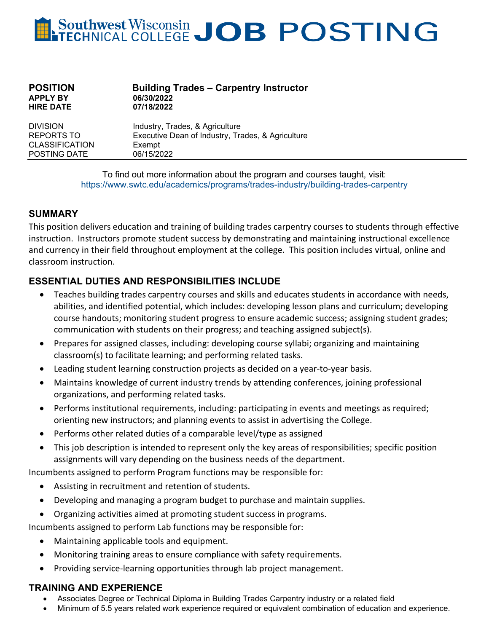# Southwest Wisconsin JOB POSTING

| <b>POSITION</b>  | <b>Building Trades - Carpentry Instructor</b> |
|------------------|-----------------------------------------------|
| <b>APPLY BY</b>  | 06/30/2022                                    |
| <b>HIRE DATE</b> | 07/18/2022                                    |
|                  |                                               |

DIVISION Industry, Trades, & Agriculture<br>REPORTS TO Executive Dean of Industry. Tra Executive Dean of Industry, Trades, & Agriculture CLASSIFICATION Exempt POSTING DATE 06/15/2022

> To find out more information about the program and courses taught, visit: <https://www.swtc.edu/academics/programs/trades-industry/building-trades-carpentry>

## **SUMMARY**

This position delivers education and training of building trades carpentry courses to students through effective instruction. Instructors promote student success by demonstrating and maintaining instructional excellence and currency in their field throughout employment at the college. This position includes virtual, online and classroom instruction.

# **ESSENTIAL DUTIES AND RESPONSIBILITIES INCLUDE**

- Teaches building trades carpentry courses and skills and educates students in accordance with needs, abilities, and identified potential, which includes: developing lesson plans and curriculum; developing course handouts; monitoring student progress to ensure academic success; assigning student grades; communication with students on their progress; and teaching assigned subject(s).
- Prepares for assigned classes, including: developing course syllabi; organizing and maintaining classroom(s) to facilitate learning; and performing related tasks.
- Leading student learning construction projects as decided on a year-to-year basis.
- Maintains knowledge of current industry trends by attending conferences, joining professional organizations, and performing related tasks.
- Performs institutional requirements, including: participating in events and meetings as required; orienting new instructors; and planning events to assist in advertising the College.
- Performs other related duties of a comparable level/type as assigned
- This job description is intended to represent only the key areas of responsibilities; specific position assignments will vary depending on the business needs of the department.

Incumbents assigned to perform Program functions may be responsible for:

- Assisting in recruitment and retention of students.
- Developing and managing a program budget to purchase and maintain supplies.
- Organizing activities aimed at promoting student success in programs.

Incumbents assigned to perform Lab functions may be responsible for:

- Maintaining applicable tools and equipment.
- Monitoring training areas to ensure compliance with safety requirements.
- Providing service-learning opportunities through lab project management.

#### **TRAINING AND EXPERIENCE**

- Associates Degree or Technical Diploma in Building Trades Carpentry industry or a related field
- Minimum of 5.5 years related work experience required or equivalent combination of education and experience.